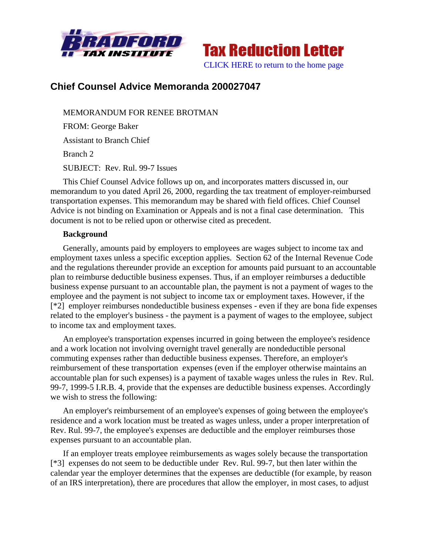



# **Chief Counsel Advice Memoranda 200027047**

MEMORANDUM FOR RENEE BROTMAN FROM: George Baker Assistant to Branch Chief Branch 2 SUBJECT: Rev. Rul. 99-7 Issues

This Chief Counsel Advice follows up on, and incorporates matters discussed in, our memorandum to you dated April 26, 2000, regarding the tax treatment of employer-reimbursed transportation expenses. This memorandum may be shared with field offices. Chief Counsel Advice is not binding on Examination or Appeals and is not a final case determination. This document is not to be relied upon or otherwise cited as precedent.

## **Background**

Generally, amounts paid by employers to employees are wages subject to income tax and employment taxes unless a specific exception applies. Section 62 of the Internal Revenue Code and the regulations thereunder provide an exception for amounts paid pursuant to an accountable plan to reimburse deductible business expenses. Thus, if an employer reimburses a deductible business expense pursuant to an accountable plan, the payment is not a payment of wages to the employee and the payment is not subject to income tax or employment taxes. However, if the [\*2] employer reimburses nondeductible business expenses - even if they are bona fide expenses related to the employer's business - the payment is a payment of wages to the employee, subject to income tax and employment taxes.

An employee's transportation expenses incurred in going between the employee's residence and a work location not involving overnight travel generally are nondeductible personal commuting expenses rather than deductible business expenses. Therefore, an employer's reimbursement of these transportation expenses (even if the employer otherwise maintains an accountable plan for such expenses) is a payment of taxable wages unless the rules in Rev. Rul. 99-7, 1999-5 I.R.B. 4, provide that the expenses are deductible business expenses. Accordingly we wish to stress the following:

An employer's reimbursement of an employee's expenses of going between the employee's residence and a work location must be treated as wages unless, under a proper interpretation of Rev. Rul. 99-7, the employee's expenses are deductible and the employer reimburses those expenses pursuant to an accountable plan.

If an employer treats employee reimbursements as wages solely because the transportation [\*3] expenses do not seem to be deductible under Rev. Rul. 99-7, but then later within the calendar year the employer determines that the expenses are deductible (for example, by reason of an IRS interpretation), there are procedures that allow the employer, in most cases, to adjust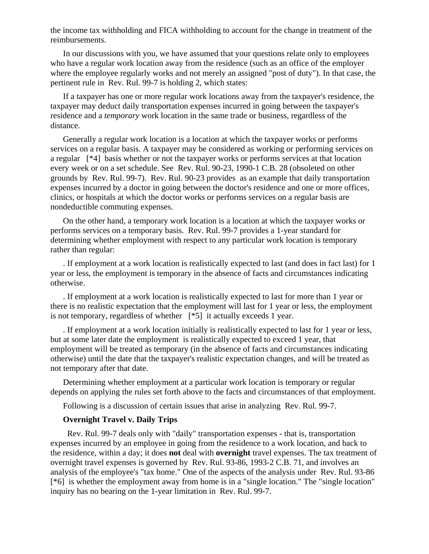the income tax withholding and FICA withholding to account for the change in treatment of the reimbursements.

In our discussions with you, we have assumed that your questions relate only to employees who have a regular work location away from the residence (such as an office of the employer where the employee regularly works and not merely an assigned "post of duty"). In that case, the pertinent rule in Rev. Rul. 99-7 is holding 2, which states:

If a taxpayer has one or more regular work locations away from the taxpayer's residence, the taxpayer may deduct daily transportation expenses incurred in going between the taxpayer's residence and a *temporary* work location in the same trade or business, regardless of the distance.

Generally a regular work location is a location at which the taxpayer works or performs services on a regular basis. A taxpayer may be considered as working or performing services on a regular [\*4] basis whether or not the taxpayer works or performs services at that location every week or on a set schedule. See Rev. Rul. 90-23, 1990-1 C.B. 28 (obsoleted on other grounds by Rev. Rul. 99-7). Rev. Rul. 90-23 provides as an example that daily transportation expenses incurred by a doctor in going between the doctor's residence and one or more offices, clinics, or hospitals at which the doctor works or performs services on a regular basis are nondeductible commuting expenses.

On the other hand, a temporary work location is a location at which the taxpayer works or performs services on a temporary basis. Rev. Rul. 99-7 provides a 1-year standard for determining whether employment with respect to any particular work location is temporary rather than regular:

. If employment at a work location is realistically expected to last (and does in fact last) for 1 year or less, the employment is temporary in the absence of facts and circumstances indicating otherwise.

. If employment at a work location is realistically expected to last for more than 1 year or there is no realistic expectation that the employment will last for 1 year or less, the employment is not temporary, regardless of whether [\*5] it actually exceeds 1 year.

. If employment at a work location initially is realistically expected to last for 1 year or less, but at some later date the employment is realistically expected to exceed 1 year, that employment will be treated as temporary (in the absence of facts and circumstances indicating otherwise) until the date that the taxpayer's realistic expectation changes, and will be treated as not temporary after that date.

Determining whether employment at a particular work location is temporary or regular depends on applying the rules set forth above to the facts and circumstances of that employment.

Following is a discussion of certain issues that arise in analyzing Rev. Rul. 99-7.

## **Overnight Travel v. Daily Trips**

 Rev. Rul. 99-7 deals only with "daily" transportation expenses - that is, transportation expenses incurred by an employee in going from the residence to a work location, and back to the residence, within a day; it does **not** deal with **overnight** travel expenses. The tax treatment of overnight travel expenses is governed by Rev. Rul. 93-86, 1993-2 C.B. 71, and involves an analysis of the employee's "tax home." One of the aspects of the analysis under Rev. Rul. 93-86 [\*6] is whether the employment away from home is in a "single location." The "single location" inquiry has no bearing on the 1-year limitation in Rev. Rul. 99-7.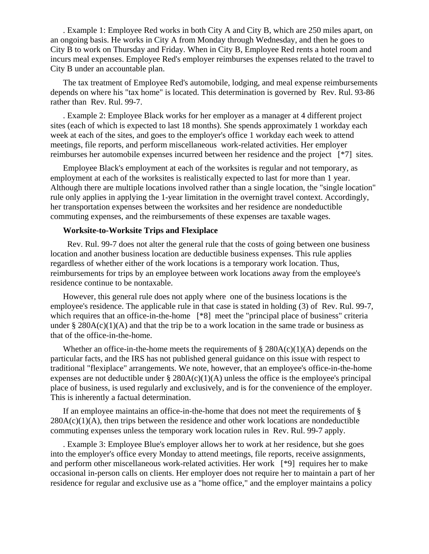. Example 1: Employee Red works in both City A and City B, which are 250 miles apart, on an ongoing basis. He works in City A from Monday through Wednesday, and then he goes to City B to work on Thursday and Friday. When in City B, Employee Red rents a hotel room and incurs meal expenses. Employee Red's employer reimburses the expenses related to the travel to City B under an accountable plan.

The tax treatment of Employee Red's automobile, lodging, and meal expense reimbursements depends on where his "tax home" is located. This determination is governed by Rev. Rul. 93-86 rather than Rev. Rul. 99-7.

. Example 2: Employee Black works for her employer as a manager at 4 different project sites (each of which is expected to last 18 months). She spends approximately 1 workday each week at each of the sites, and goes to the employer's office 1 workday each week to attend meetings, file reports, and perform miscellaneous work-related activities. Her employer reimburses her automobile expenses incurred between her residence and the project [\*7] sites.

Employee Black's employment at each of the worksites is regular and not temporary, as employment at each of the worksites is realistically expected to last for more than 1 year. Although there are multiple locations involved rather than a single location, the "single location" rule only applies in applying the 1-year limitation in the overnight travel context. Accordingly, her transportation expenses between the worksites and her residence are nondeductible commuting expenses, and the reimbursements of these expenses are taxable wages.

## **Worksite-to-Worksite Trips and Flexiplace**

 Rev. Rul. 99-7 does not alter the general rule that the costs of going between one business location and another business location are deductible business expenses. This rule applies regardless of whether either of the work locations is a temporary work location. Thus, reimbursements for trips by an employee between work locations away from the employee's residence continue to be nontaxable.

However, this general rule does not apply where one of the business locations is the employee's residence. The applicable rule in that case is stated in holding (3) of Rev. Rul. 99-7, which requires that an office-in-the-home [\*8] meet the "principal place of business" criteria under  $\S 280A(c)(1)(A)$  and that the trip be to a work location in the same trade or business as that of the office-in-the-home.

Whether an office-in-the-home meets the requirements of  $\S 280A(c)(1)(A)$  depends on the particular facts, and the IRS has not published general guidance on this issue with respect to traditional "flexiplace" arrangements. We note, however, that an employee's office-in-the-home expenses are not deductible under  $\S$  280A(c)(1)(A) unless the office is the employee's principal place of business, is used regularly and exclusively, and is for the convenience of the employer. This is inherently a factual determination.

If an employee maintains an office-in-the-home that does not meet the requirements of §  $280A(c)(1)(A)$ , then trips between the residence and other work locations are nondeductible commuting expenses unless the temporary work location rules in Rev. Rul. 99-7 apply.

. Example 3: Employee Blue's employer allows her to work at her residence, but she goes into the employer's office every Monday to attend meetings, file reports, receive assignments, and perform other miscellaneous work-related activities. Her work [\*9] requires her to make occasional in-person calls on clients. Her employer does not require her to maintain a part of her residence for regular and exclusive use as a "home office," and the employer maintains a policy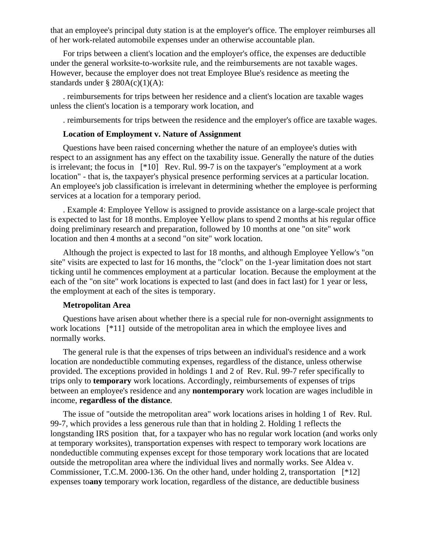that an employee's principal duty station is at the employer's office. The employer reimburses all of her work-related automobile expenses under an otherwise accountable plan.

For trips between a client's location and the employer's office, the expenses are deductible under the general worksite-to-worksite rule, and the reimbursements are not taxable wages. However, because the employer does not treat Employee Blue's residence as meeting the standards under  $\S$  280A(c)(1)(A):

. reimbursements for trips between her residence and a client's location are taxable wages unless the client's location is a temporary work location, and

. reimbursements for trips between the residence and the employer's office are taxable wages.

#### **Location of Employment v. Nature of Assignment**

Questions have been raised concerning whether the nature of an employee's duties with respect to an assignment has any effect on the taxability issue. Generally the nature of the duties is irrelevant; the focus in [\*10] Rev. Rul. 99-7 is on the taxpayer's "employment at a work location" - that is, the taxpayer's physical presence performing services at a particular location. An employee's job classification is irrelevant in determining whether the employee is performing services at a location for a temporary period.

. Example 4: Employee Yellow is assigned to provide assistance on a large-scale project that is expected to last for 18 months. Employee Yellow plans to spend 2 months at his regular office doing preliminary research and preparation, followed by 10 months at one "on site" work location and then 4 months at a second "on site" work location.

Although the project is expected to last for 18 months, and although Employee Yellow's "on site" visits are expected to last for 16 months, the "clock" on the 1-year limitation does not start ticking until he commences employment at a particular location. Because the employment at the each of the "on site" work locations is expected to last (and does in fact last) for 1 year or less, the employment at each of the sites is temporary.

#### **Metropolitan Area**

Questions have arisen about whether there is a special rule for non-overnight assignments to work locations [\*11] outside of the metropolitan area in which the employee lives and normally works.

The general rule is that the expenses of trips between an individual's residence and a work location are nondeductible commuting expenses, regardless of the distance, unless otherwise provided. The exceptions provided in holdings 1 and 2 of Rev. Rul. 99-7 refer specifically to trips only to **temporary** work locations. Accordingly, reimbursements of expenses of trips between an employee's residence and any **nontemporary** work location are wages includible in income, **regardless of the distance**.

The issue of "outside the metropolitan area" work locations arises in holding 1 of Rev. Rul. 99-7, which provides a less generous rule than that in holding 2. Holding 1 reflects the longstanding IRS position that, for a taxpayer who has no regular work location (and works only at temporary worksites), transportation expenses with respect to temporary work locations are nondeductible commuting expenses except for those temporary work locations that are located outside the metropolitan area where the individual lives and normally works. See Aldea v. Commissioner, T.C.M. 2000-136. On the other hand, under holding 2, transportation [\*12] expenses to**any** temporary work location, regardless of the distance, are deductible business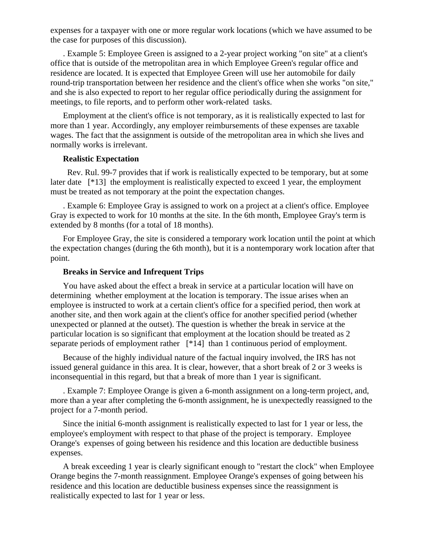expenses for a taxpayer with one or more regular work locations (which we have assumed to be the case for purposes of this discussion).

. Example 5: Employee Green is assigned to a 2-year project working "on site" at a client's office that is outside of the metropolitan area in which Employee Green's regular office and residence are located. It is expected that Employee Green will use her automobile for daily round-trip transportation between her residence and the client's office when she works "on site," and she is also expected to report to her regular office periodically during the assignment for meetings, to file reports, and to perform other work-related tasks.

Employment at the client's office is not temporary, as it is realistically expected to last for more than 1 year. Accordingly, any employer reimbursements of these expenses are taxable wages. The fact that the assignment is outside of the metropolitan area in which she lives and normally works is irrelevant.

## **Realistic Expectation**

 Rev. Rul. 99-7 provides that if work is realistically expected to be temporary, but at some later date [\*13] the employment is realistically expected to exceed 1 year, the employment must be treated as not temporary at the point the expectation changes.

. Example 6: Employee Gray is assigned to work on a project at a client's office. Employee Gray is expected to work for 10 months at the site. In the 6th month, Employee Gray's term is extended by 8 months (for a total of 18 months).

For Employee Gray, the site is considered a temporary work location until the point at which the expectation changes (during the 6th month), but it is a nontemporary work location after that point.

#### **Breaks in Service and Infrequent Trips**

You have asked about the effect a break in service at a particular location will have on determining whether employment at the location is temporary. The issue arises when an employee is instructed to work at a certain client's office for a specified period, then work at another site, and then work again at the client's office for another specified period (whether unexpected or planned at the outset). The question is whether the break in service at the particular location is so significant that employment at the location should be treated as 2 separate periods of employment rather [\*14] than 1 continuous period of employment.

Because of the highly individual nature of the factual inquiry involved, the IRS has not issued general guidance in this area. It is clear, however, that a short break of 2 or 3 weeks is inconsequential in this regard, but that a break of more than 1 year is significant.

. Example 7: Employee Orange is given a 6-month assignment on a long-term project, and, more than a year after completing the 6-month assignment, he is unexpectedly reassigned to the project for a 7-month period.

Since the initial 6-month assignment is realistically expected to last for 1 year or less, the employee's employment with respect to that phase of the project is temporary. Employee Orange's expenses of going between his residence and this location are deductible business expenses.

A break exceeding 1 year is clearly significant enough to "restart the clock" when Employee Orange begins the 7-month reassignment. Employee Orange's expenses of going between his residence and this location are deductible business expenses since the reassignment is realistically expected to last for 1 year or less.